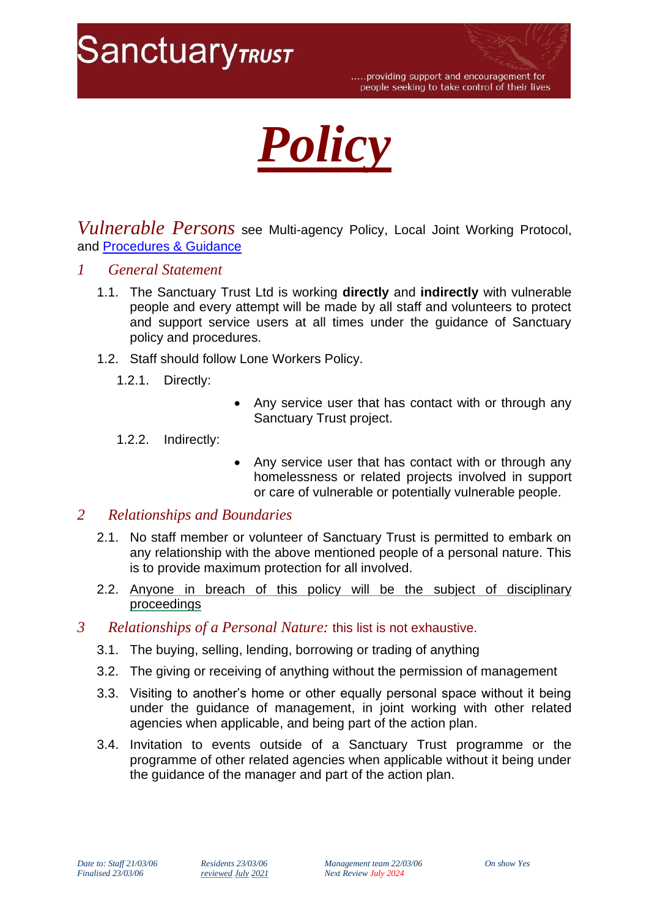



*Vulnerable Persons* see Multi-agency Policy, Local Joint Working Protocol, and [Procedures & Guidance](file://///sanctuarytrust.local/tst-dfs/tst/Level7/Publications/1%20Policies%20&%20Procedures/3%20POVA/Procedures-Guidance.pdf)

- *1 General Statement*
	- 1.1. The Sanctuary Trust Ltd is working **directly** and **indirectly** with vulnerable people and every attempt will be made by all staff and volunteers to protect and support service users at all times under the guidance of Sanctuary policy and procedures.
	- 1.2. Staff should follow Lone Workers Policy.
		- 1.2.1. Directly:
- Any service user that has contact with or through any Sanctuary Trust project.
- 1.2.2. Indirectly:
- Any service user that has contact with or through any homelessness or related projects involved in support or care of vulnerable or potentially vulnerable people.

## *2 Relationships and Boundaries*

- 2.1. No staff member or volunteer of Sanctuary Trust is permitted to embark on any relationship with the above mentioned people of a personal nature. This is to provide maximum protection for all involved.
- 2.2. Anyone in breach of this policy will be the subject of disciplinary proceedings
- *3 Relationships of a Personal Nature:* this list is not exhaustive.
	- 3.1. The buying, selling, lending, borrowing or trading of anything
	- 3.2. The giving or receiving of anything without the permission of management
	- 3.3. Visiting to another's home or other equally personal space without it being under the guidance of management, in joint working with other related agencies when applicable, and being part of the action plan.
	- 3.4. Invitation to events outside of a Sanctuary Trust programme or the programme of other related agencies when applicable without it being under the guidance of the manager and part of the action plan.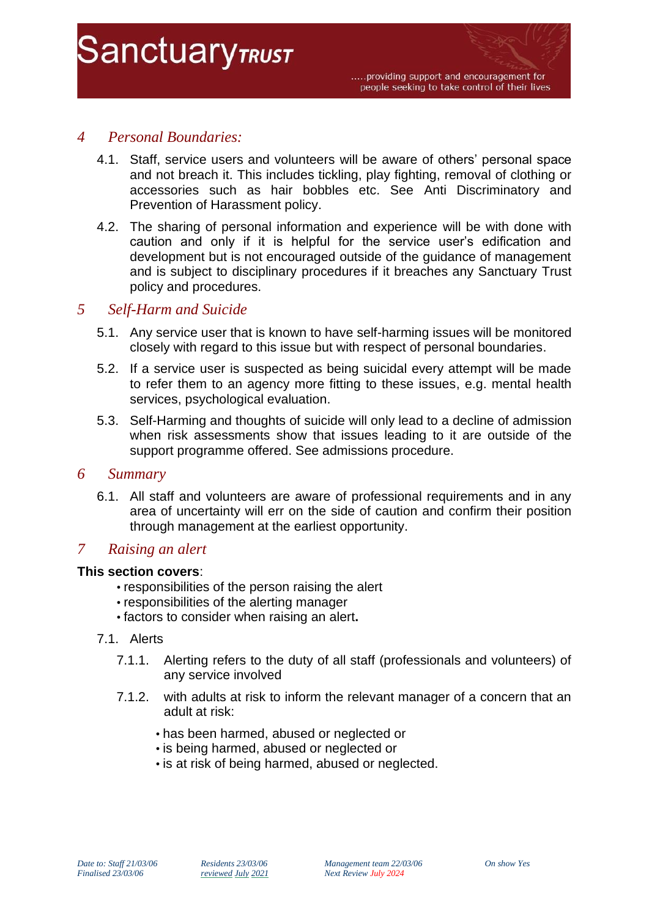# *4 Personal Boundaries:*

**SanctuaryTRUST** 

- 4.1. Staff, service users and volunteers will be aware of others' personal space and not breach it. This includes tickling, play fighting, removal of clothing or accessories such as hair bobbles etc. See Anti Discriminatory and Prevention of Harassment policy.
- 4.2. The sharing of personal information and experience will be with done with caution and only if it is helpful for the service user's edification and development but is not encouraged outside of the guidance of management and is subject to disciplinary procedures if it breaches any Sanctuary Trust policy and procedures.

# *5 Self-Harm and Suicide*

- 5.1. Any service user that is known to have self-harming issues will be monitored closely with regard to this issue but with respect of personal boundaries.
- 5.2. If a service user is suspected as being suicidal every attempt will be made to refer them to an agency more fitting to these issues, e.g. mental health services, psychological evaluation.
- 5.3. Self-Harming and thoughts of suicide will only lead to a decline of admission when risk assessments show that issues leading to it are outside of the support programme offered. See admissions procedure.

## *6 Summary*

6.1. All staff and volunteers are aware of professional requirements and in any area of uncertainty will err on the side of caution and confirm their position through management at the earliest opportunity.

# *7 Raising an alert*

## **This section covers**:

- responsibilities of the person raising the alert
- responsibilities of the alerting manager
- factors to consider when raising an alert**.**
- 7.1. Alerts
	- 7.1.1. Alerting refers to the duty of all staff (professionals and volunteers) of any service involved
	- 7.1.2. with adults at risk to inform the relevant manager of a concern that an adult at risk:
		- has been harmed, abused or neglected or
		- is being harmed, abused or neglected or
		- is at risk of being harmed, abused or neglected.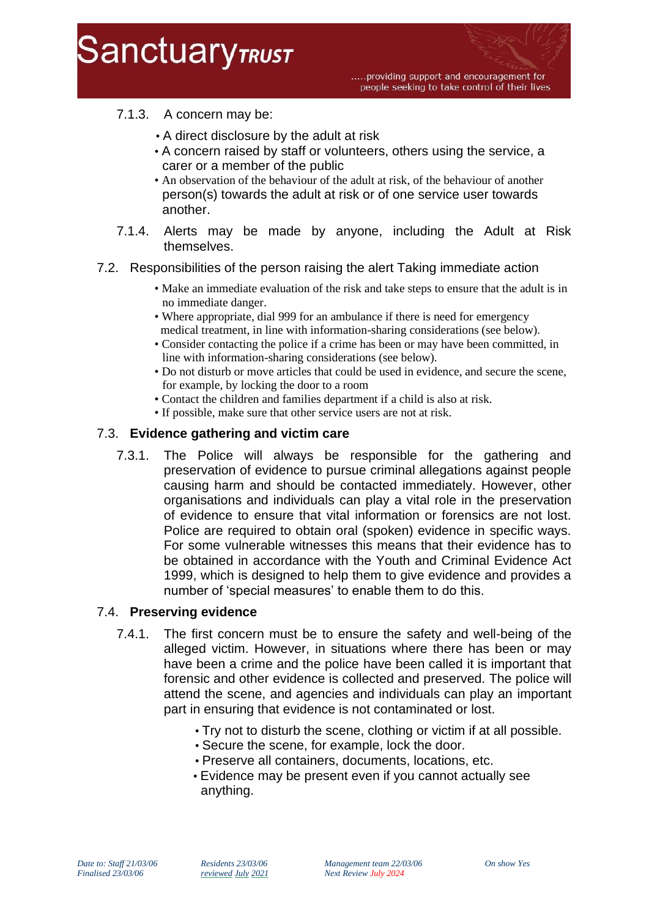

.....providing support and encouragement for people seeking to take control of their lives

# 7.1.3. A concern may be:

- A direct disclosure by the adult at risk
- A concern raised by staff or volunteers, others using the service, a carer or a member of the public
- An observation of the behaviour of the adult at risk, of the behaviour of another person(s) towards the adult at risk or of one service user towards another.
- 7.1.4. Alerts may be made by anyone, including the Adult at Risk themselves.

## 7.2. Responsibilities of the person raising the alert Taking immediate action

- Make an immediate evaluation of the risk and take steps to ensure that the adult is in no immediate danger.
- Where appropriate, dial 999 for an ambulance if there is need for emergency medical treatment, in line with information-sharing considerations (see below).
- Consider contacting the police if a crime has been or may have been committed, in line with information-sharing considerations (see below).
- Do not disturb or move articles that could be used in evidence, and secure the scene, for example, by locking the door to a room
- Contact the children and families department if a child is also at risk.
- If possible, make sure that other service users are not at risk.

## 7.3. **Evidence gathering and victim care**

7.3.1. The Police will always be responsible for the gathering and preservation of evidence to pursue criminal allegations against people causing harm and should be contacted immediately. However, other organisations and individuals can play a vital role in the preservation of evidence to ensure that vital information or forensics are not lost. Police are required to obtain oral (spoken) evidence in specific ways. For some vulnerable witnesses this means that their evidence has to be obtained in accordance with the Youth and Criminal Evidence Act 1999, which is designed to help them to give evidence and provides a number of 'special measures' to enable them to do this.

## 7.4. **Preserving evidence**

- 7.4.1. The first concern must be to ensure the safety and well-being of the alleged victim. However, in situations where there has been or may have been a crime and the police have been called it is important that forensic and other evidence is collected and preserved. The police will attend the scene, and agencies and individuals can play an important part in ensuring that evidence is not contaminated or lost.
	- Try not to disturb the scene, clothing or victim if at all possible.
	- Secure the scene, for example, lock the door.
	- Preserve all containers, documents, locations, etc.
	- Evidence may be present even if you cannot actually see anything.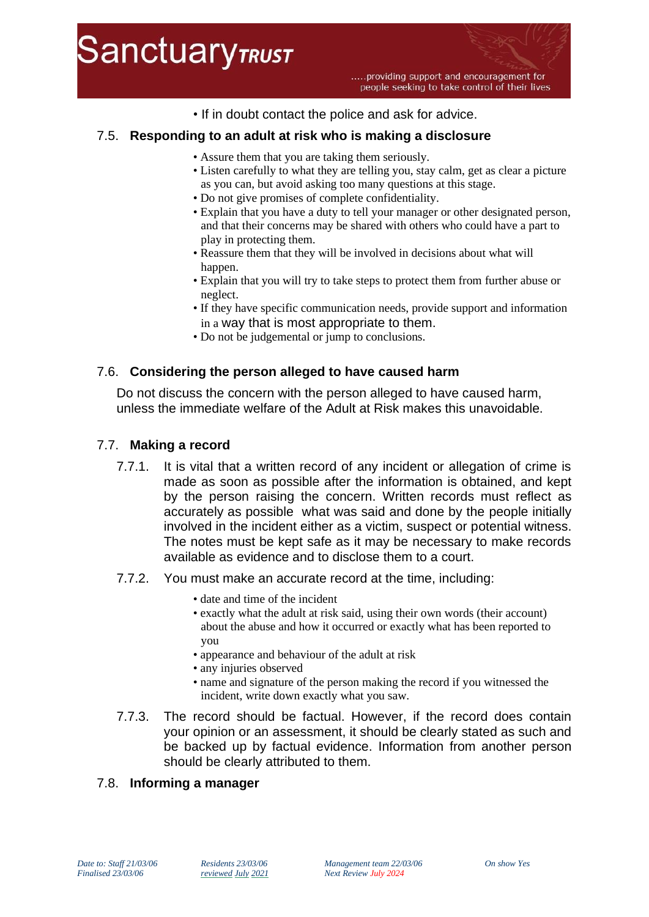

• If in doubt contact the police and ask for advice.

## 7.5. **Responding to an adult at risk who is making a disclosure**

- Assure them that you are taking them seriously.
- Listen carefully to what they are telling you, stay calm, get as clear a picture as you can, but avoid asking too many questions at this stage.
- Do not give promises of complete confidentiality.
- Explain that you have a duty to tell your manager or other designated person, and that their concerns may be shared with others who could have a part to play in protecting them.
- Reassure them that they will be involved in decisions about what will happen.
- Explain that you will try to take steps to protect them from further abuse or neglect.
- If they have specific communication needs, provide support and information in a way that is most appropriate to them.
- Do not be judgemental or jump to conclusions.

## 7.6. **Considering the person alleged to have caused harm**

Do not discuss the concern with the person alleged to have caused harm, unless the immediate welfare of the Adult at Risk makes this unavoidable.

## 7.7. **Making a record**

- 7.7.1. It is vital that a written record of any incident or allegation of crime is made as soon as possible after the information is obtained, and kept by the person raising the concern. Written records must reflect as accurately as possible what was said and done by the people initially involved in the incident either as a victim, suspect or potential witness. The notes must be kept safe as it may be necessary to make records available as evidence and to disclose them to a court.
- 7.7.2. You must make an accurate record at the time, including:
	- date and time of the incident
	- exactly what the adult at risk said, using their own words (their account) about the abuse and how it occurred or exactly what has been reported to you
	- appearance and behaviour of the adult at risk
	- any injuries observed
	- name and signature of the person making the record if you witnessed the incident, write down exactly what you saw.
- 7.7.3. The record should be factual. However, if the record does contain your opinion or an assessment, it should be clearly stated as such and be backed up by factual evidence. Information from another person should be clearly attributed to them.

## 7.8. **Informing a manager**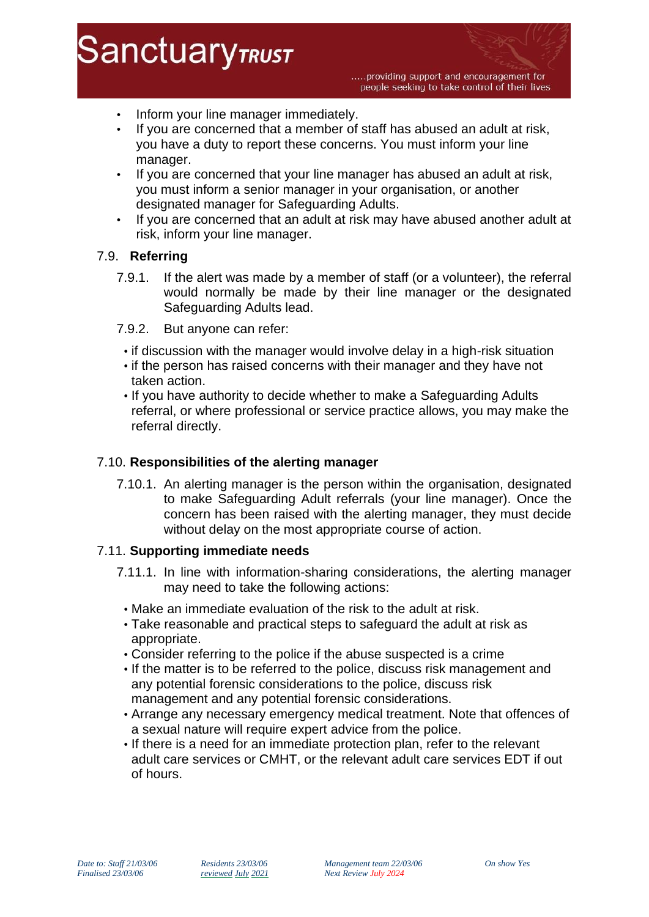• Inform your line manager immediately.

**SanctuaryTRUST** 

- If you are concerned that a member of staff has abused an adult at risk, you have a duty to report these concerns. You must inform your line manager.
- If you are concerned that your line manager has abused an adult at risk, you must inform a senior manager in your organisation, or another designated manager for Safeguarding Adults.
- If you are concerned that an adult at risk may have abused another adult at risk, inform your line manager.

## 7.9. **Referring**

- 7.9.1. If the alert was made by a member of staff (or a volunteer), the referral would normally be made by their line manager or the designated Safeguarding Adults lead.
- 7.9.2. But anyone can refer:
	- if discussion with the manager would involve delay in a high-risk situation
- if the person has raised concerns with their manager and they have not taken action.
- If you have authority to decide whether to make a Safeguarding Adults referral, or where professional or service practice allows, you may make the referral directly.

## 7.10. **Responsibilities of the alerting manager**

7.10.1. An alerting manager is the person within the organisation, designated to make Safeguarding Adult referrals (your line manager). Once the concern has been raised with the alerting manager, they must decide without delay on the most appropriate course of action.

## 7.11. **Supporting immediate needs**

- 7.11.1. In line with information-sharing considerations, the alerting manager may need to take the following actions:
	- Make an immediate evaluation of the risk to the adult at risk.
	- Take reasonable and practical steps to safeguard the adult at risk as appropriate.
	- Consider referring to the police if the abuse suspected is a crime
- If the matter is to be referred to the police, discuss risk management and any potential forensic considerations to the police, discuss risk management and any potential forensic considerations.
- Arrange any necessary emergency medical treatment. Note that offences of a sexual nature will require expert advice from the police.
- If there is a need for an immediate protection plan, refer to the relevant adult care services or CMHT, or the relevant adult care services EDT if out of hours.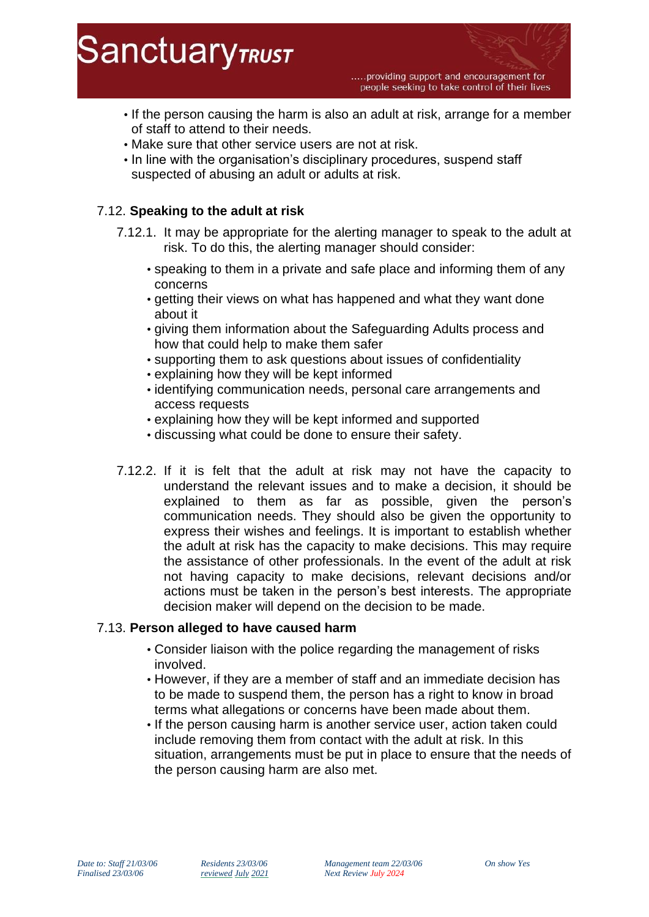.....providing support and encouragement for people seeking to take control of their lives

- If the person causing the harm is also an adult at risk, arrange for a member of staff to attend to their needs.
- Make sure that other service users are not at risk.
- In line with the organisation's disciplinary procedures, suspend staff suspected of abusing an adult or adults at risk.

# 7.12. **Speaking to the adult at risk**

- 7.12.1. It may be appropriate for the alerting manager to speak to the adult at risk. To do this, the alerting manager should consider:
	- speaking to them in a private and safe place and informing them of any concerns
	- getting their views on what has happened and what they want done about it
	- giving them information about the Safeguarding Adults process and how that could help to make them safer
	- supporting them to ask questions about issues of confidentiality
	- explaining how they will be kept informed
	- identifying communication needs, personal care arrangements and access requests
	- explaining how they will be kept informed and supported
	- discussing what could be done to ensure their safety.
- 7.12.2. If it is felt that the adult at risk may not have the capacity to understand the relevant issues and to make a decision, it should be explained to them as far as possible, given the person's communication needs. They should also be given the opportunity to express their wishes and feelings. It is important to establish whether the adult at risk has the capacity to make decisions. This may require the assistance of other professionals. In the event of the adult at risk not having capacity to make decisions, relevant decisions and/or actions must be taken in the person's best interests. The appropriate decision maker will depend on the decision to be made.

## 7.13. **Person alleged to have caused harm**

- Consider liaison with the police regarding the management of risks involved.
- However, if they are a member of staff and an immediate decision has to be made to suspend them, the person has a right to know in broad terms what allegations or concerns have been made about them.
- If the person causing harm is another service user, action taken could include removing them from contact with the adult at risk. In this situation, arrangements must be put in place to ensure that the needs of the person causing harm are also met.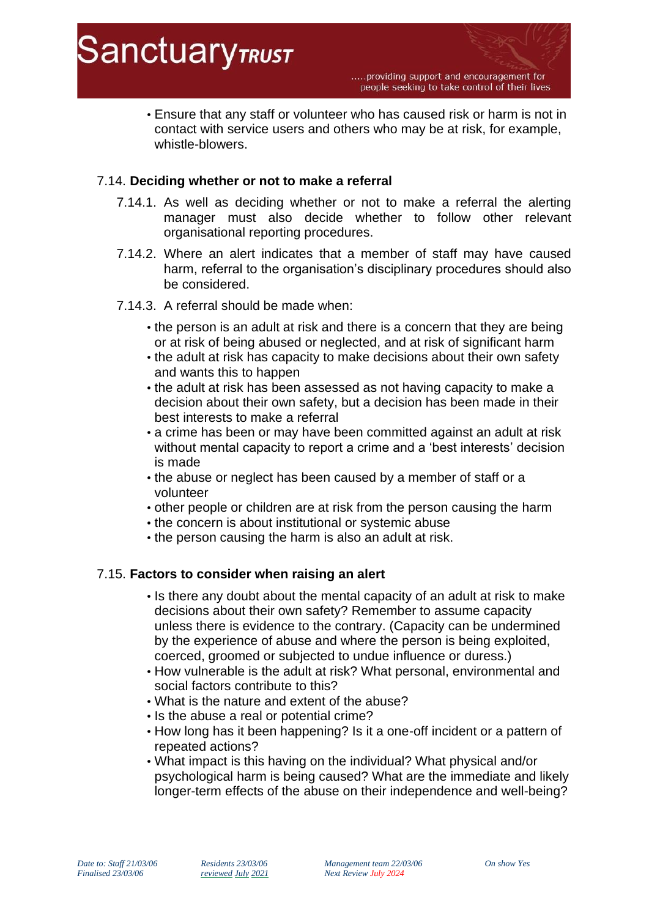

• Ensure that any staff or volunteer who has caused risk or harm is not in contact with service users and others who may be at risk, for example, whistle-blowers.

## 7.14. **Deciding whether or not to make a referral**

- 7.14.1. As well as deciding whether or not to make a referral the alerting manager must also decide whether to follow other relevant organisational reporting procedures.
- 7.14.2. Where an alert indicates that a member of staff may have caused harm, referral to the organisation's disciplinary procedures should also be considered.
- 7.14.3. A referral should be made when:
	- the person is an adult at risk and there is a concern that they are being or at risk of being abused or neglected, and at risk of significant harm
	- the adult at risk has capacity to make decisions about their own safety and wants this to happen
	- the adult at risk has been assessed as not having capacity to make a decision about their own safety, but a decision has been made in their best interests to make a referral
	- a crime has been or may have been committed against an adult at risk without mental capacity to report a crime and a 'best interests' decision is made
	- the abuse or neglect has been caused by a member of staff or a volunteer
	- other people or children are at risk from the person causing the harm
	- the concern is about institutional or systemic abuse
	- the person causing the harm is also an adult at risk.

## 7.15. **Factors to consider when raising an alert**

- Is there any doubt about the mental capacity of an adult at risk to make decisions about their own safety? Remember to assume capacity unless there is evidence to the contrary. (Capacity can be undermined by the experience of abuse and where the person is being exploited, coerced, groomed or subjected to undue influence or duress.)
- How vulnerable is the adult at risk? What personal, environmental and social factors contribute to this?
- What is the nature and extent of the abuse?
- Is the abuse a real or potential crime?
- How long has it been happening? Is it a one-off incident or a pattern of repeated actions?
- What impact is this having on the individual? What physical and/or psychological harm is being caused? What are the immediate and likely longer-term effects of the abuse on their independence and well-being?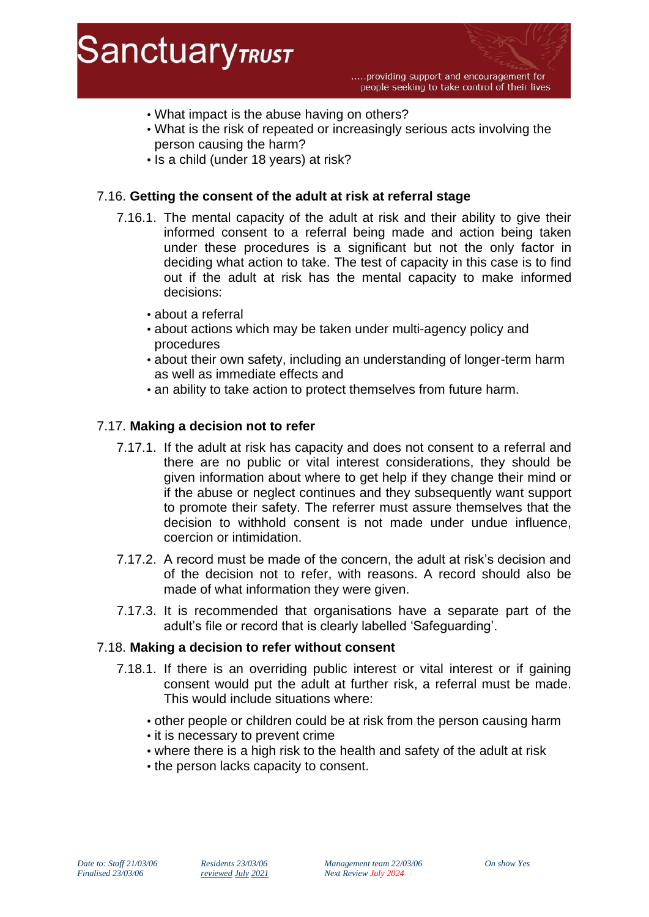

- What impact is the abuse having on others?
- What is the risk of repeated or increasingly serious acts involving the person causing the harm?
- Is a child (under 18 years) at risk?

## 7.16. **Getting the consent of the adult at risk at referral stage**

- 7.16.1. The mental capacity of the adult at risk and their ability to give their informed consent to a referral being made and action being taken under these procedures is a significant but not the only factor in deciding what action to take. The test of capacity in this case is to find out if the adult at risk has the mental capacity to make informed decisions:
	- about a referral
	- about actions which may be taken under multi-agency policy and procedures
	- about their own safety, including an understanding of longer-term harm as well as immediate effects and
	- an ability to take action to protect themselves from future harm.

## 7.17. **Making a decision not to refer**

- 7.17.1. If the adult at risk has capacity and does not consent to a referral and there are no public or vital interest considerations, they should be given information about where to get help if they change their mind or if the abuse or neglect continues and they subsequently want support to promote their safety. The referrer must assure themselves that the decision to withhold consent is not made under undue influence, coercion or intimidation.
- 7.17.2. A record must be made of the concern, the adult at risk's decision and of the decision not to refer, with reasons. A record should also be made of what information they were given.
- 7.17.3. It is recommended that organisations have a separate part of the adult's file or record that is clearly labelled 'Safeguarding'.

## 7.18. **Making a decision to refer without consent**

- 7.18.1. If there is an overriding public interest or vital interest or if gaining consent would put the adult at further risk, a referral must be made. This would include situations where:
	- other people or children could be at risk from the person causing harm
	- it is necessary to prevent crime
	- where there is a high risk to the health and safety of the adult at risk
	- the person lacks capacity to consent.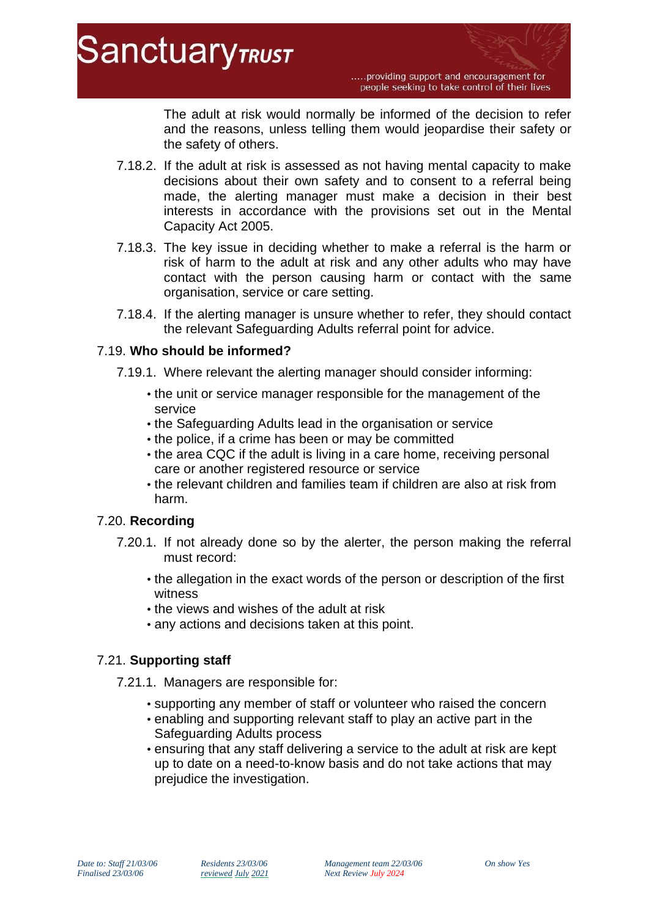.....providing support and encouragement for people seeking to take control of their lives

The adult at risk would normally be informed of the decision to refer and the reasons, unless telling them would jeopardise their safety or the safety of others.

- 7.18.2. If the adult at risk is assessed as not having mental capacity to make decisions about their own safety and to consent to a referral being made, the alerting manager must make a decision in their best interests in accordance with the provisions set out in the Mental Capacity Act 2005.
- 7.18.3. The key issue in deciding whether to make a referral is the harm or risk of harm to the adult at risk and any other adults who may have contact with the person causing harm or contact with the same organisation, service or care setting.
- 7.18.4. If the alerting manager is unsure whether to refer, they should contact the relevant Safeguarding Adults referral point for advice.

# 7.19. **Who should be informed?**

- 7.19.1. Where relevant the alerting manager should consider informing:
	- the unit or service manager responsible for the management of the service
	- the Safeguarding Adults lead in the organisation or service
	- the police, if a crime has been or may be committed
	- the area CQC if the adult is living in a care home, receiving personal care or another registered resource or service
	- the relevant children and families team if children are also at risk from harm.

# 7.20. **Recording**

- 7.20.1. If not already done so by the alerter, the person making the referral must record:
	- the allegation in the exact words of the person or description of the first witness
	- the views and wishes of the adult at risk
	- any actions and decisions taken at this point.

# 7.21. **Supporting staff**

- 7.21.1. Managers are responsible for:
	- supporting any member of staff or volunteer who raised the concern
	- enabling and supporting relevant staff to play an active part in the Safeguarding Adults process
	- ensuring that any staff delivering a service to the adult at risk are kept up to date on a need-to-know basis and do not take actions that may prejudice the investigation.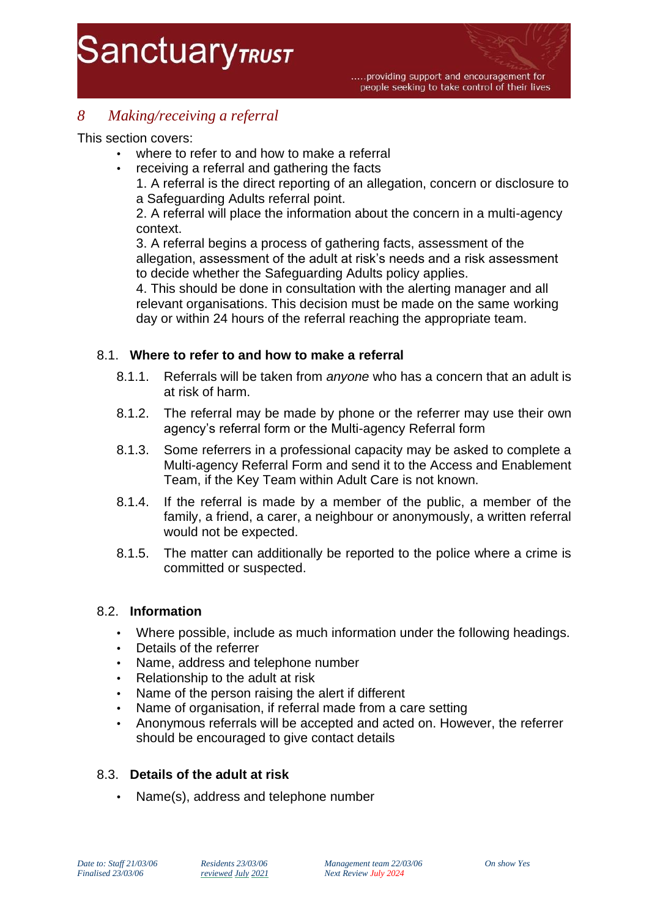# *8 Making/receiving a referral*

This section covers:

- where to refer to and how to make a referral
	- receiving a referral and gathering the facts
		- 1. A referral is the direct reporting of an allegation, concern or disclosure to a Safeguarding Adults referral point.

2. A referral will place the information about the concern in a multi-agency context.

3. A referral begins a process of gathering facts, assessment of the allegation, assessment of the adult at risk's needs and a risk assessment to decide whether the Safeguarding Adults policy applies.

4. This should be done in consultation with the alerting manager and all relevant organisations. This decision must be made on the same working day or within 24 hours of the referral reaching the appropriate team.

# 8.1. **Where to refer to and how to make a referral**

- 8.1.1. Referrals will be taken from *anyone* who has a concern that an adult is at risk of harm.
- 8.1.2. The referral may be made by phone or the referrer may use their own agency's referral form or the Multi-agency Referral form
- 8.1.3. Some referrers in a professional capacity may be asked to complete a Multi-agency Referral Form and send it to the Access and Enablement Team, if the Key Team within Adult Care is not known.
- 8.1.4. If the referral is made by a member of the public, a member of the family, a friend, a carer, a neighbour or anonymously, a written referral would not be expected.
- 8.1.5. The matter can additionally be reported to the police where a crime is committed or suspected.

## 8.2. **Information**

- Where possible, include as much information under the following headings.
- Details of the referrer
- Name, address and telephone number
- Relationship to the adult at risk
- Name of the person raising the alert if different
- Name of organisation, if referral made from a care setting
- Anonymous referrals will be accepted and acted on. However, the referrer should be encouraged to give contact details

## 8.3. **Details of the adult at risk**

• Name(s), address and telephone number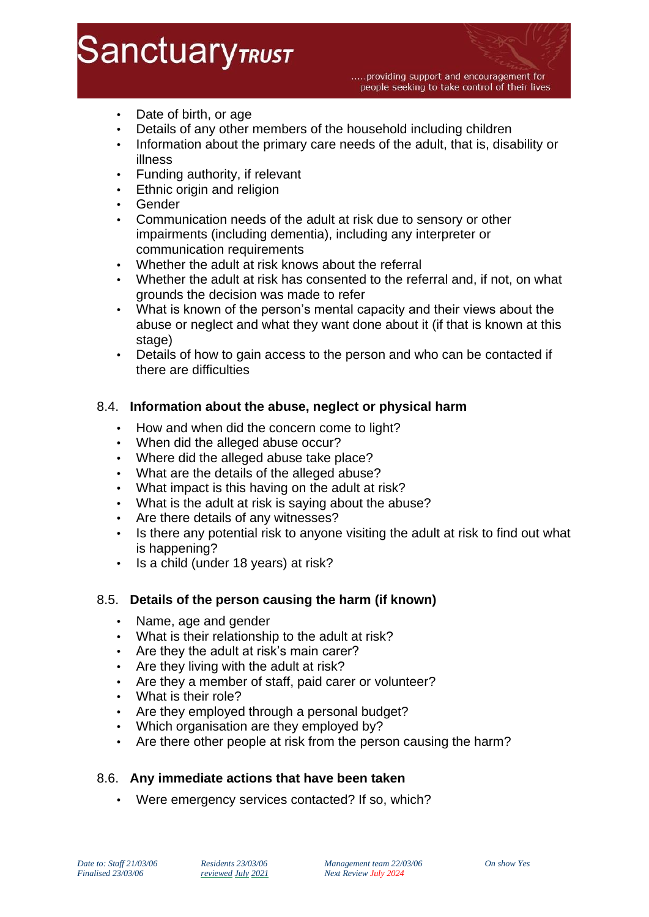# **SanctuaryTRUST**

.....providing support and encouragement for people seeking to take control of their lives

- Date of birth, or age
- Details of any other members of the household including children
- Information about the primary care needs of the adult, that is, disability or illness
- Funding authority, if relevant
- Ethnic origin and religion
- **Gender**
- Communication needs of the adult at risk due to sensory or other impairments (including dementia), including any interpreter or communication requirements
- Whether the adult at risk knows about the referral
- Whether the adult at risk has consented to the referral and, if not, on what grounds the decision was made to refer
- What is known of the person's mental capacity and their views about the abuse or neglect and what they want done about it (if that is known at this stage)
- Details of how to gain access to the person and who can be contacted if there are difficulties

# 8.4. **Information about the abuse, neglect or physical harm**

- How and when did the concern come to light?
- When did the alleged abuse occur?
- Where did the alleged abuse take place?
- What are the details of the alleged abuse?
- What impact is this having on the adult at risk?
- What is the adult at risk is saying about the abuse?
- Are there details of any witnesses?
- Is there any potential risk to anyone visiting the adult at risk to find out what is happening?
- Is a child (under 18 years) at risk?

## 8.5. **Details of the person causing the harm (if known)**

- Name, age and gender
- What is their relationship to the adult at risk?
- Are they the adult at risk's main carer?
- Are they living with the adult at risk?
- Are they a member of staff, paid carer or volunteer?
- What is their role?
- Are they employed through a personal budget?
- Which organisation are they employed by?
- Are there other people at risk from the person causing the harm?

# 8.6. **Any immediate actions that have been taken**

• Were emergency services contacted? If so, which?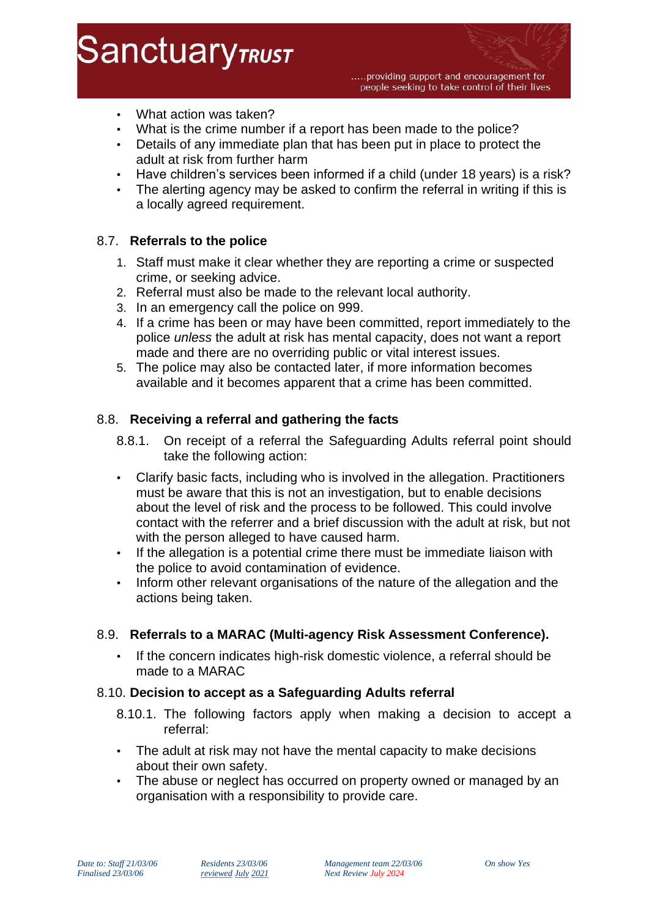**SanctuaryTRUST** 

- What action was taken?
- What is the crime number if a report has been made to the police?
- Details of any immediate plan that has been put in place to protect the adult at risk from further harm
- Have children's services been informed if a child (under 18 years) is a risk?
- The alerting agency may be asked to confirm the referral in writing if this is a locally agreed requirement.

# 8.7. **Referrals to the police**

- 1. Staff must make it clear whether they are reporting a crime or suspected crime, or seeking advice.
- 2. Referral must also be made to the relevant local authority.
- 3. In an emergency call the police on 999.
- 4. If a crime has been or may have been committed, report immediately to the police *unless* the adult at risk has mental capacity, does not want a report made and there are no overriding public or vital interest issues.
- 5. The police may also be contacted later, if more information becomes available and it becomes apparent that a crime has been committed.

## 8.8. **Receiving a referral and gathering the facts**

- 8.8.1. On receipt of a referral the Safeguarding Adults referral point should take the following action:
- Clarify basic facts, including who is involved in the allegation. Practitioners must be aware that this is not an investigation, but to enable decisions about the level of risk and the process to be followed. This could involve contact with the referrer and a brief discussion with the adult at risk, but not with the person alleged to have caused harm.
- If the allegation is a potential crime there must be immediate liaison with the police to avoid contamination of evidence.
- Inform other relevant organisations of the nature of the allegation and the actions being taken.

## 8.9. **Referrals to a MARAC (Multi-agency Risk Assessment Conference).**

• If the concern indicates high-risk domestic violence, a referral should be made to a MARAC

## 8.10. **Decision to accept as a Safeguarding Adults referral**

- 8.10.1. The following factors apply when making a decision to accept a referral:
- The adult at risk may not have the mental capacity to make decisions about their own safety.
- The abuse or neglect has occurred on property owned or managed by an organisation with a responsibility to provide care.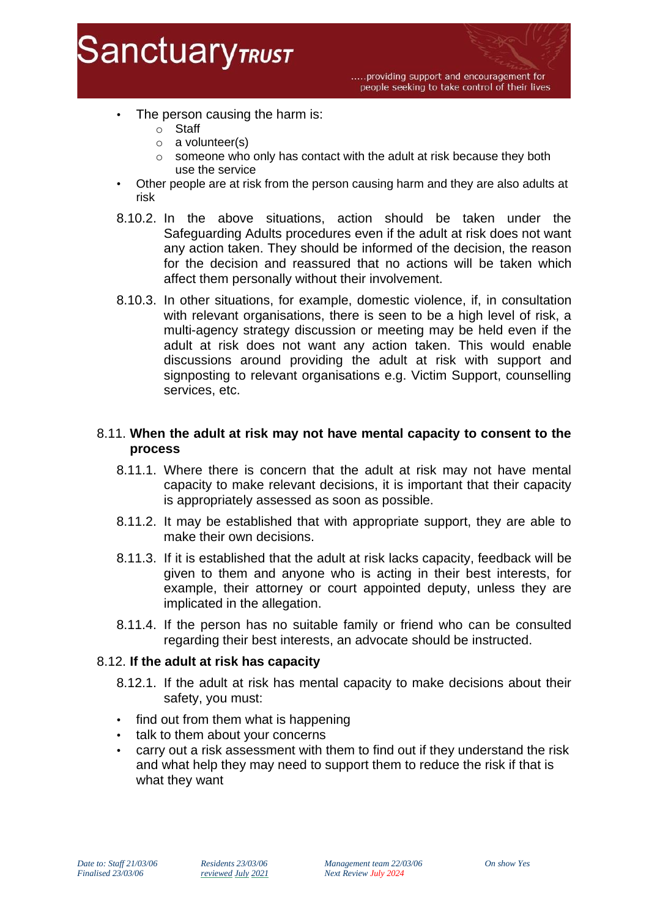

- The person causing the harm is:
	- o Staff
	- o a volunteer(s)
	- o someone who only has contact with the adult at risk because they both use the service
- Other people are at risk from the person causing harm and they are also adults at risk
- 8.10.2. In the above situations, action should be taken under the Safeguarding Adults procedures even if the adult at risk does not want any action taken. They should be informed of the decision, the reason for the decision and reassured that no actions will be taken which affect them personally without their involvement.
- 8.10.3. In other situations, for example, domestic violence, if, in consultation with relevant organisations, there is seen to be a high level of risk, a multi-agency strategy discussion or meeting may be held even if the adult at risk does not want any action taken. This would enable discussions around providing the adult at risk with support and signposting to relevant organisations e.g. Victim Support, counselling services, etc.

# 8.11. **When the adult at risk may not have mental capacity to consent to the process**

- 8.11.1. Where there is concern that the adult at risk may not have mental capacity to make relevant decisions, it is important that their capacity is appropriately assessed as soon as possible.
- 8.11.2. It may be established that with appropriate support, they are able to make their own decisions.
- 8.11.3. If it is established that the adult at risk lacks capacity, feedback will be given to them and anyone who is acting in their best interests, for example, their attorney or court appointed deputy, unless they are implicated in the allegation.
- 8.11.4. If the person has no suitable family or friend who can be consulted regarding their best interests, an advocate should be instructed.

## 8.12. **If the adult at risk has capacity**

- 8.12.1. If the adult at risk has mental capacity to make decisions about their safety, you must:
- find out from them what is happening
- talk to them about your concerns
- carry out a risk assessment with them to find out if they understand the risk and what help they may need to support them to reduce the risk if that is what they want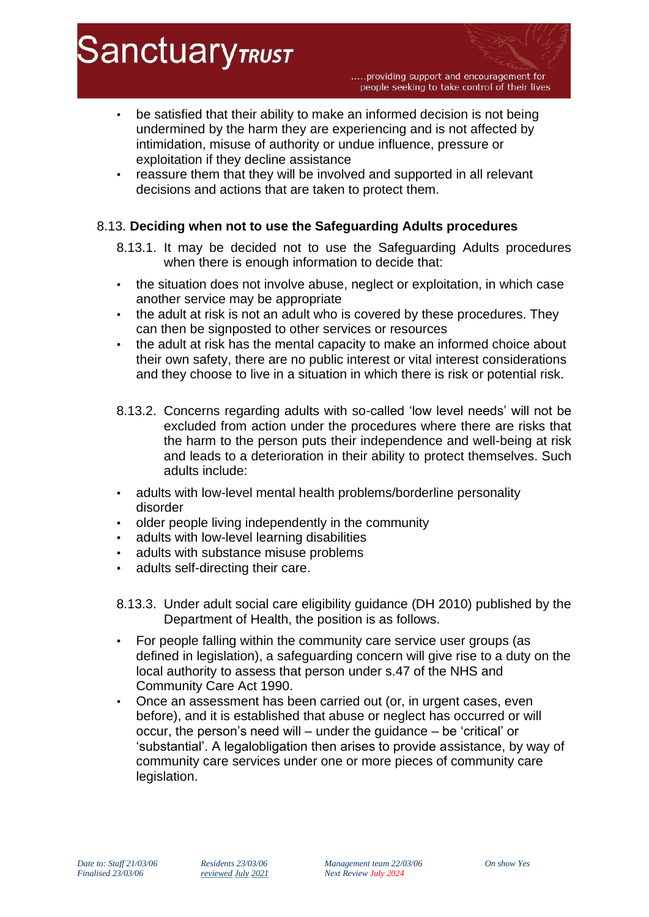- be satisfied that their ability to make an informed decision is not being undermined by the harm they are experiencing and is not affected by intimidation, misuse of authority or undue influence, pressure or exploitation if they decline assistance
- reassure them that they will be involved and supported in all relevant decisions and actions that are taken to protect them.

# 8.13. **Deciding when not to use the Safeguarding Adults procedures**

- 8.13.1. It may be decided not to use the Safeguarding Adults procedures when there is enough information to decide that:
- the situation does not involve abuse, neglect or exploitation, in which case another service may be appropriate
- the adult at risk is not an adult who is covered by these procedures. They can then be signposted to other services or resources
- the adult at risk has the mental capacity to make an informed choice about their own safety, there are no public interest or vital interest considerations and they choose to live in a situation in which there is risk or potential risk.
- 8.13.2. Concerns regarding adults with so-called 'low level needs' will not be excluded from action under the procedures where there are risks that the harm to the person puts their independence and well-being at risk and leads to a deterioration in their ability to protect themselves. Such adults include:
- adults with low-level mental health problems/borderline personality disorder
- older people living independently in the community
- adults with low-level learning disabilities
- adults with substance misuse problems
- adults self-directing their care.
- 8.13.3. Under adult social care eligibility guidance (DH 2010) published by the Department of Health, the position is as follows.
- For people falling within the community care service user groups (as defined in legislation), a safeguarding concern will give rise to a duty on the local authority to assess that person under s.47 of the NHS and Community Care Act 1990.
- Once an assessment has been carried out (or, in urgent cases, even before), and it is established that abuse or neglect has occurred or will occur, the person's need will – under the guidance – be 'critical' or 'substantial'. A legalobligation then arises to provide assistance, by way of community care services under one or more pieces of community care legislation.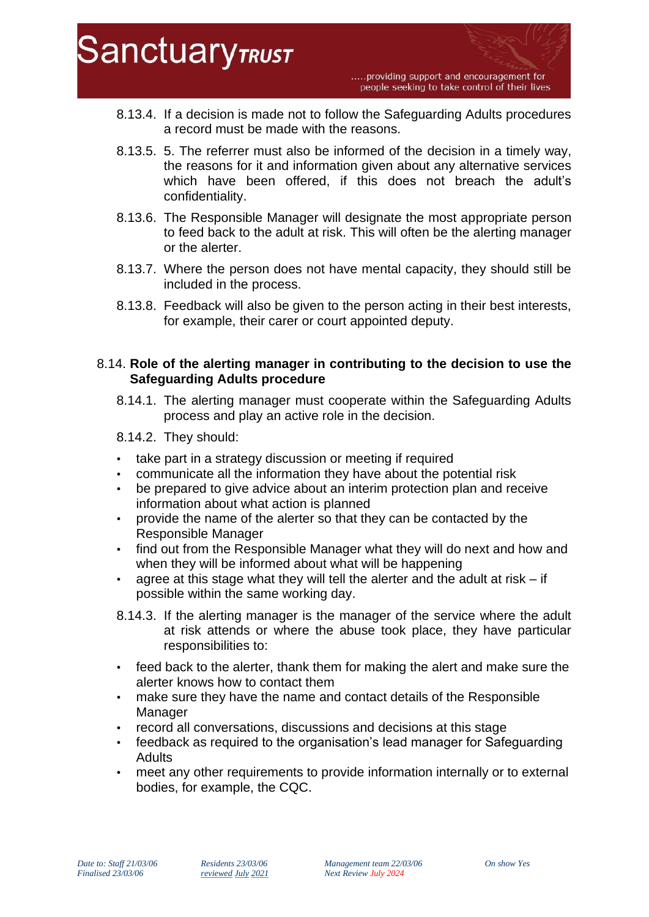

- 8.13.4. If a decision is made not to follow the Safeguarding Adults procedures a record must be made with the reasons.
- 8.13.5. 5. The referrer must also be informed of the decision in a timely way, the reasons for it and information given about any alternative services which have been offered, if this does not breach the adult's confidentiality.
- 8.13.6. The Responsible Manager will designate the most appropriate person to feed back to the adult at risk. This will often be the alerting manager or the alerter.
- 8.13.7. Where the person does not have mental capacity, they should still be included in the process.
- 8.13.8. Feedback will also be given to the person acting in their best interests, for example, their carer or court appointed deputy.

## 8.14. **Role of the alerting manager in contributing to the decision to use the Safeguarding Adults procedure**

- 8.14.1. The alerting manager must cooperate within the Safeguarding Adults process and play an active role in the decision.
- 8.14.2. They should:
- take part in a strategy discussion or meeting if required
- communicate all the information they have about the potential risk
- be prepared to give advice about an interim protection plan and receive information about what action is planned
- provide the name of the alerter so that they can be contacted by the Responsible Manager
- find out from the Responsible Manager what they will do next and how and when they will be informed about what will be happening
- agree at this stage what they will tell the alerter and the adult at risk if possible within the same working day.
- 8.14.3. If the alerting manager is the manager of the service where the adult at risk attends or where the abuse took place, they have particular responsibilities to:
- feed back to the alerter, thank them for making the alert and make sure the alerter knows how to contact them
- make sure they have the name and contact details of the Responsible Manager
- record all conversations, discussions and decisions at this stage
- feedback as required to the organisation's lead manager for Safeguarding Adults
- meet any other requirements to provide information internally or to external bodies, for example, the CQC.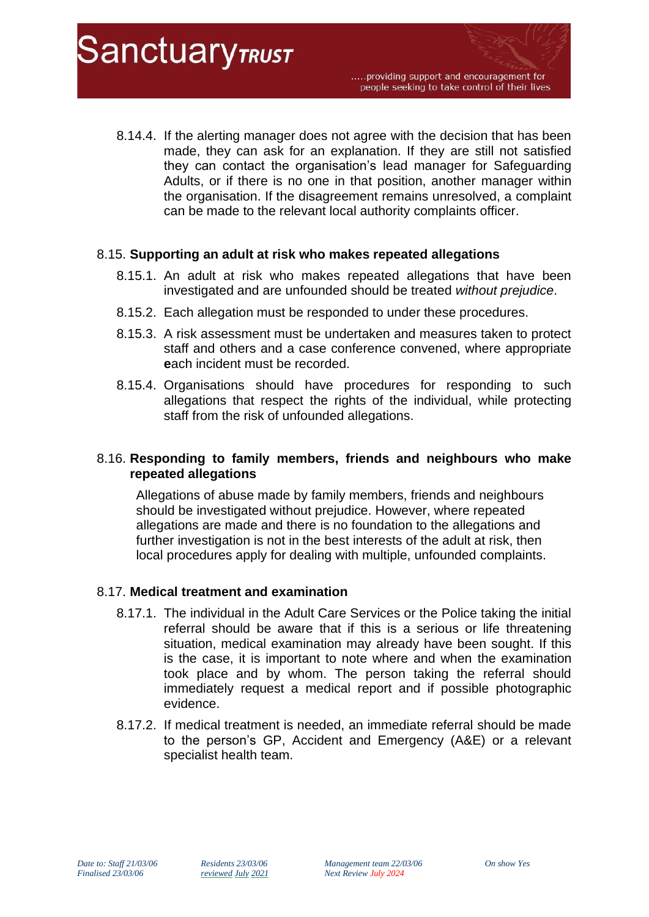8.14.4. If the alerting manager does not agree with the decision that has been made, they can ask for an explanation. If they are still not satisfied they can contact the organisation's lead manager for Safeguarding Adults, or if there is no one in that position, another manager within the organisation. If the disagreement remains unresolved, a complaint can be made to the relevant local authority complaints officer.

## 8.15. **Supporting an adult at risk who makes repeated allegations**

- 8.15.1. An adult at risk who makes repeated allegations that have been investigated and are unfounded should be treated *without prejudice*.
- 8.15.2. Each allegation must be responded to under these procedures.
- 8.15.3. A risk assessment must be undertaken and measures taken to protect staff and others and a case conference convened, where appropriate **e**ach incident must be recorded.
- 8.15.4. Organisations should have procedures for responding to such allegations that respect the rights of the individual, while protecting staff from the risk of unfounded allegations.

## 8.16. **Responding to family members, friends and neighbours who make repeated allegations**

Allegations of abuse made by family members, friends and neighbours should be investigated without prejudice. However, where repeated allegations are made and there is no foundation to the allegations and further investigation is not in the best interests of the adult at risk, then local procedures apply for dealing with multiple, unfounded complaints.

## 8.17. **Medical treatment and examination**

**SanctuaryTRUST** 

- 8.17.1. The individual in the Adult Care Services or the Police taking the initial referral should be aware that if this is a serious or life threatening situation, medical examination may already have been sought. If this is the case, it is important to note where and when the examination took place and by whom. The person taking the referral should immediately request a medical report and if possible photographic evidence.
- 8.17.2. If medical treatment is needed, an immediate referral should be made to the person's GP, Accident and Emergency (A&E) or a relevant specialist health team.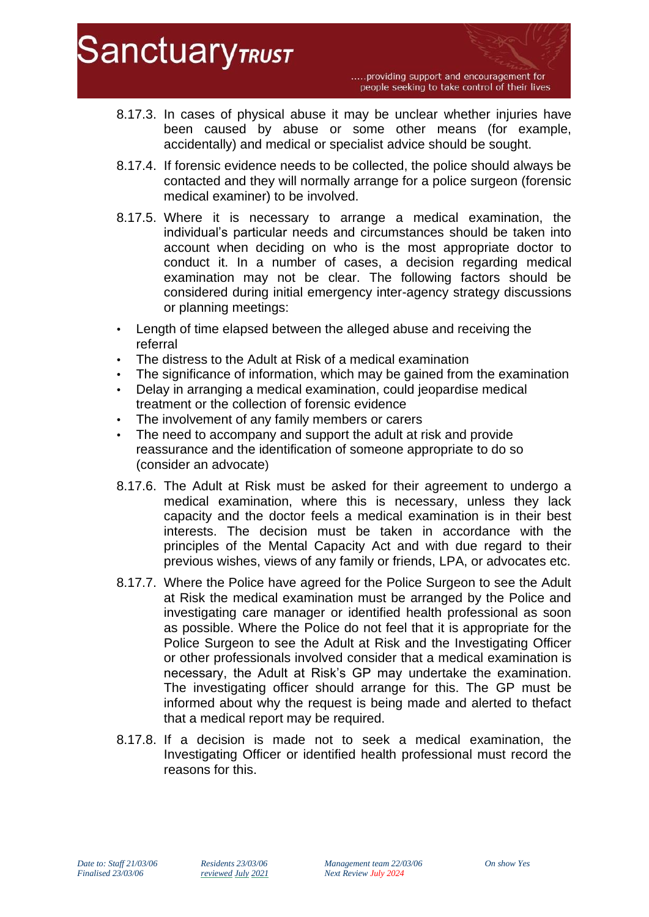- 8.17.3. In cases of physical abuse it may be unclear whether injuries have been caused by abuse or some other means (for example, accidentally) and medical or specialist advice should be sought.
- 8.17.4. If forensic evidence needs to be collected, the police should always be contacted and they will normally arrange for a police surgeon (forensic medical examiner) to be involved.
- 8.17.5. Where it is necessary to arrange a medical examination, the individual's particular needs and circumstances should be taken into account when deciding on who is the most appropriate doctor to conduct it. In a number of cases, a decision regarding medical examination may not be clear. The following factors should be considered during initial emergency inter-agency strategy discussions or planning meetings:
- Length of time elapsed between the alleged abuse and receiving the referral
- The distress to the Adult at Risk of a medical examination
- The significance of information, which may be gained from the examination
- Delay in arranging a medical examination, could jeopardise medical treatment or the collection of forensic evidence
- The involvement of any family members or carers
- The need to accompany and support the adult at risk and provide reassurance and the identification of someone appropriate to do so (consider an advocate)
- 8.17.6. The Adult at Risk must be asked for their agreement to undergo a medical examination, where this is necessary, unless they lack capacity and the doctor feels a medical examination is in their best interests. The decision must be taken in accordance with the principles of the Mental Capacity Act and with due regard to their previous wishes, views of any family or friends, LPA, or advocates etc.
- 8.17.7. Where the Police have agreed for the Police Surgeon to see the Adult at Risk the medical examination must be arranged by the Police and investigating care manager or identified health professional as soon as possible. Where the Police do not feel that it is appropriate for the Police Surgeon to see the Adult at Risk and the Investigating Officer or other professionals involved consider that a medical examination is necessary, the Adult at Risk's GP may undertake the examination. The investigating officer should arrange for this. The GP must be informed about why the request is being made and alerted to thefact that a medical report may be required.
- 8.17.8. If a decision is made not to seek a medical examination, the Investigating Officer or identified health professional must record the reasons for this.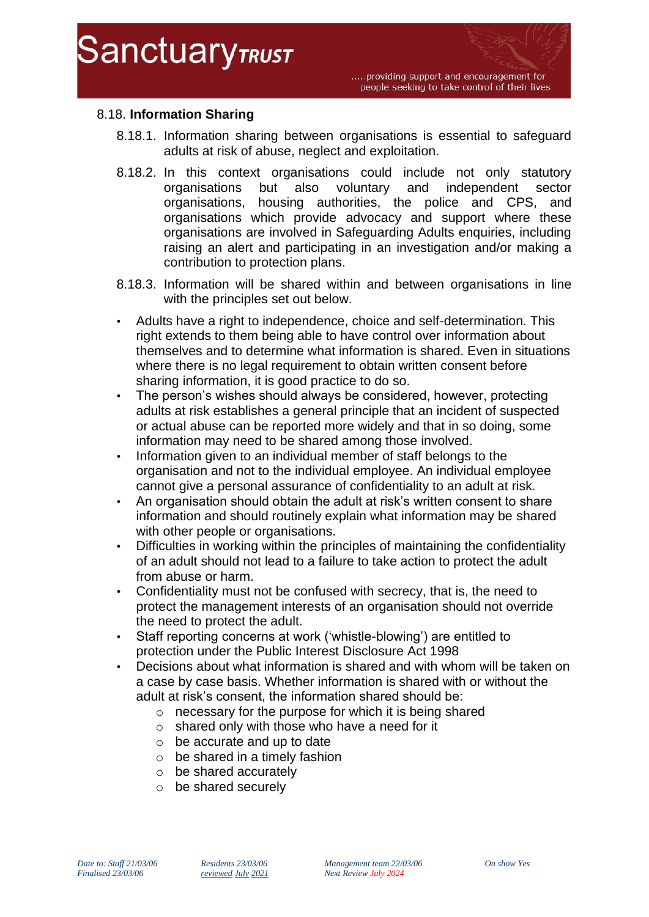

# 8.18. **Information Sharing**

- 8.18.1. Information sharing between organisations is essential to safeguard adults at risk of abuse, neglect and exploitation.
- 8.18.2. In this context organisations could include not only statutory organisations but also voluntary and independent sector organisations, housing authorities, the police and CPS, and organisations which provide advocacy and support where these organisations are involved in Safeguarding Adults enquiries, including raising an alert and participating in an investigation and/or making a contribution to protection plans.
- 8.18.3. Information will be shared within and between organisations in line with the principles set out below.
- Adults have a right to independence, choice and self-determination. This right extends to them being able to have control over information about themselves and to determine what information is shared. Even in situations where there is no legal requirement to obtain written consent before sharing information, it is good practice to do so.
- The person's wishes should always be considered, however, protecting adults at risk establishes a general principle that an incident of suspected or actual abuse can be reported more widely and that in so doing, some information may need to be shared among those involved.
- Information given to an individual member of staff belongs to the organisation and not to the individual employee. An individual employee cannot give a personal assurance of confidentiality to an adult at risk.
- An organisation should obtain the adult at risk's written consent to share information and should routinely explain what information may be shared with other people or organisations.
- Difficulties in working within the principles of maintaining the confidentiality of an adult should not lead to a failure to take action to protect the adult from abuse or harm.
- Confidentiality must not be confused with secrecy, that is, the need to protect the management interests of an organisation should not override the need to protect the adult.
- Staff reporting concerns at work ('whistle-blowing') are entitled to protection under the Public Interest Disclosure Act 1998
- Decisions about what information is shared and with whom will be taken on a case by case basis. Whether information is shared with or without the adult at risk's consent, the information shared should be:
	- o necessary for the purpose for which it is being shared
	- $\circ$  shared only with those who have a need for it
	- o be accurate and up to date
	- $\circ$  be shared in a timely fashion
	- o be shared accurately
	- o be shared securely